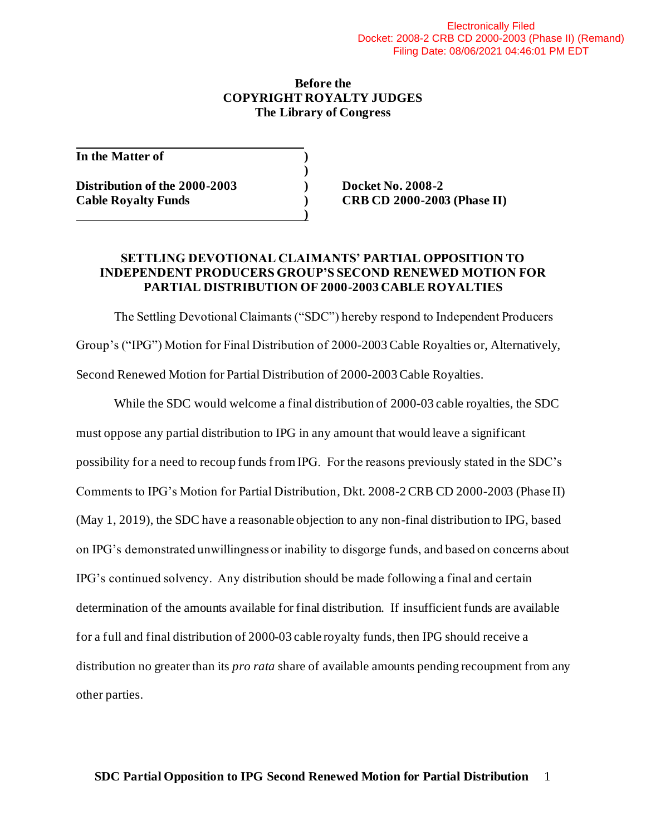#### **Before the COPYRIGHT ROYALTY JUDGES The Library of Congress**

**)**

**)**

**In the Matter of )**

**Distribution of the 2000-2003 ) Docket No. 2008-2 Cable Royalty Funds ) CRB CD 2000-2003 (Phase II)**

### **SETTLING DEVOTIONAL CLAIMANTS' PARTIAL OPPOSITION TO INDEPENDENT PRODUCERS GROUP'S SECOND RENEWED MOTION FOR PARTIAL DISTRIBUTION OF 2000-2003 CABLE ROYALTIES**

The Settling Devotional Claimants ("SDC") hereby respond to Independent Producers Group's ("IPG") Motion for Final Distribution of 2000-2003 Cable Royalties or, Alternatively, Second Renewed Motion for Partial Distribution of 2000-2003 Cable Royalties.

While the SDC would welcome a final distribution of 2000-03 cable royalties, the SDC must oppose any partial distribution to IPG in any amount that would leave a significant possibility for a need to recoup funds from IPG. For the reasons previously stated in the SDC's Comments to IPG's Motion for Partial Distribution, Dkt. 2008-2 CRB CD 2000-2003 (Phase II) (May 1, 2019), the SDC have a reasonable objection to any non-final distribution to IPG, based on IPG's demonstrated unwillingness or inability to disgorge funds, and based on concerns about IPG's continued solvency. Any distribution should be made following a final and certain determination of the amounts available for final distribution. If insufficient funds are available for a full and final distribution of 2000-03 cable royalty funds, then IPG should receive a distribution no greater than its *pro rata* share of available amounts pending recoupment from any other parties.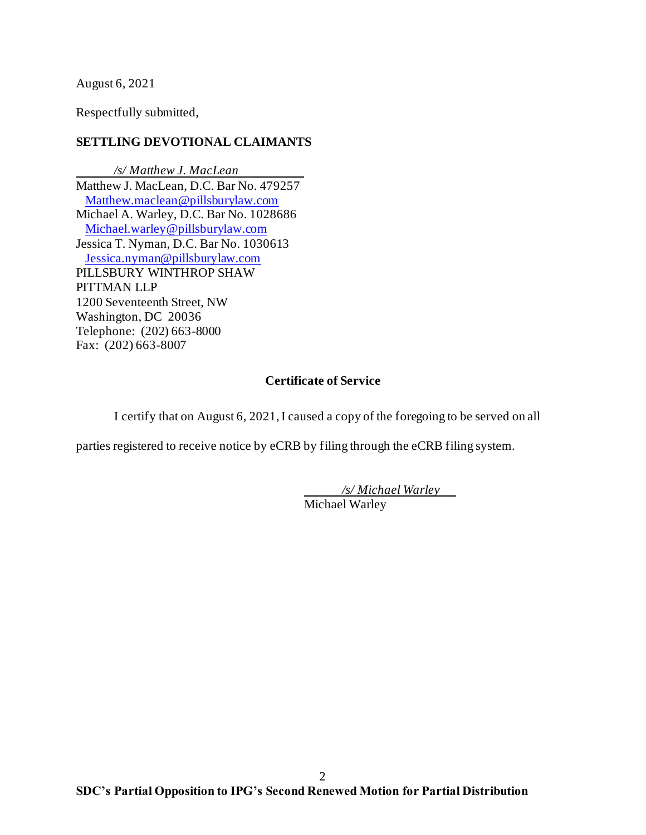August 6, 2021

Respectfully submitted,

# **SETTLING DEVOTIONAL CLAIMANTS**

*/s/ Matthew J. MacLean* Matthew J. MacLean, D.C. Bar No. 479257 [Matthew.maclean@pillsburylaw.com](mailto:Matthew.maclean@pillsburylaw.com) Michael A. Warley, D.C. Bar No. 1028686 [Michael.warley@pillsburylaw.com](mailto:Michael.warley@pillsburylaw.com) Jessica T. Nyman, D.C. Bar No. 1030613 [Jessica.nyman@pillsburylaw.com](mailto:Jessica.nyman@pillsburylaw.com) PILLSBURY WINTHROP SHAW PITTMAN LLP 1200 Seventeenth Street, NW Washington, DC 20036 Telephone: (202) 663-8000 Fax: (202) 663-8007

## **Certificate of Service**

I certify that on August 6, 2021, I caused a copy of the foregoing to be served on all

parties registered to receive notice by eCRB by filing through the eCRB filing system.

*/s/ Michael Warley* Michael Warley

2